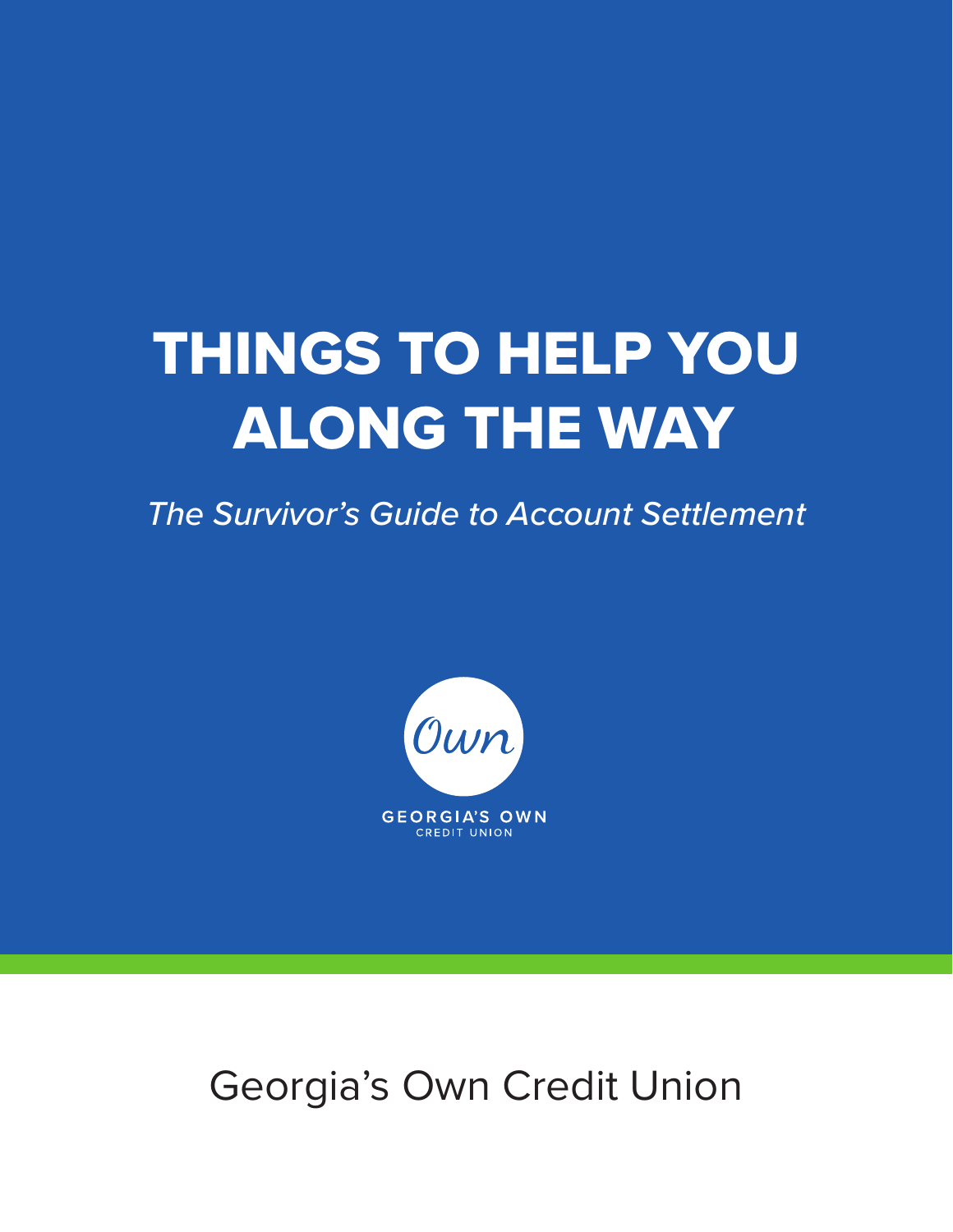# THINGS TO HELP YOU ALONG THE WAY

*The Survivor's Guide to Account Settlement*



Georgia's Own Credit Union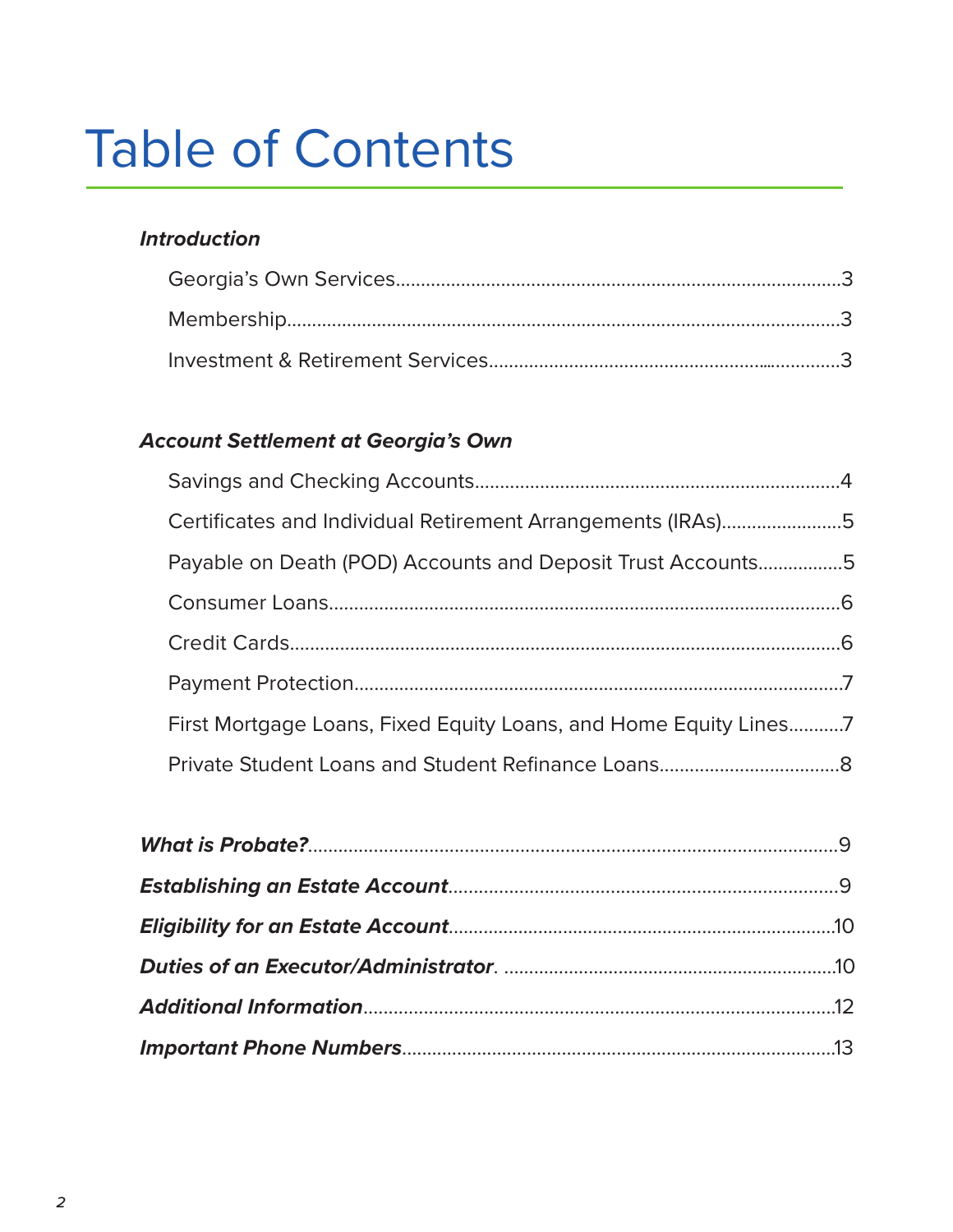# **Table of Contents**

#### **Introduction**

#### **Account Settlement at Georgia's Own**

| Certificates and Individual Retirement Arrangements (IRAs)5     |  |
|-----------------------------------------------------------------|--|
| Payable on Death (POD) Accounts and Deposit Trust Accounts5     |  |
|                                                                 |  |
|                                                                 |  |
|                                                                 |  |
| First Mortgage Loans, Fixed Equity Loans, and Home Equity Lines |  |
|                                                                 |  |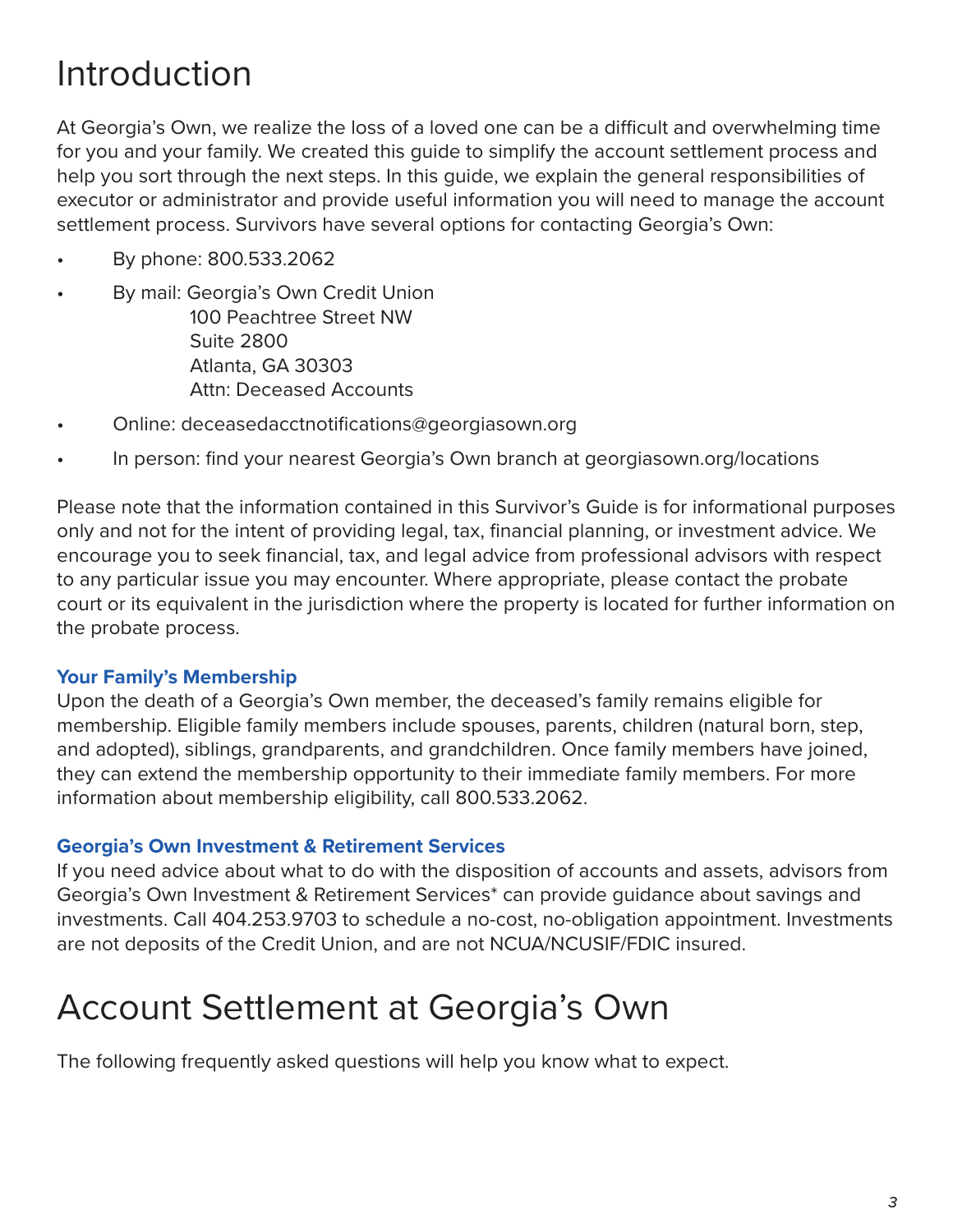# Introduction

At Georgia's Own, we realize the loss of a loved one can be a difficult and overwhelming time for you and your family. We created this guide to simplify the account settlement process and help you sort through the next steps. In this guide, we explain the general responsibilities of executor or administrator and provide useful information you will need to manage the account settlement process. Survivors have several options for contacting Georgia's Own:

- By phone: 800.533.2062
- By mail: Georgia's Own Credit Union 100 Peachtree Street NW Suite 2800 Atlanta, GA 30303 Attn: Deceased Accounts
- Online: deceasedacctnotifications@georgiasown.org
- In person: find your nearest Georgia's Own branch at georgiasown.org/locations

Please note that the information contained in this Survivor's Guide is for informational purposes only and not for the intent of providing legal, tax, financial planning, or investment advice. We encourage you to seek financial, tax, and legal advice from professional advisors with respect to any particular issue you may encounter. Where appropriate, please contact the probate court or its equivalent in the jurisdiction where the property is located for further information on the probate process.

#### **Your Family's Membership**

Upon the death of a Georgia's Own member, the deceased's family remains eligible for membership. Eligible family members include spouses, parents, children (natural born, step, and adopted), siblings, grandparents, and grandchildren. Once family members have joined, they can extend the membership opportunity to their immediate family members. For more information about membership eligibility, call 800.533.2062.

#### **Georgia's Own Investment & Retirement Services**

If you need advice about what to do with the disposition of accounts and assets, advisors from Georgia's Own Investment & Retirement Services\* can provide guidance about savings and investments. Call 404.253.9703 to schedule a no-cost, no-obligation appointment. Investments are not deposits of the Credit Union, and are not NCUA/NCUSIF/FDIC insured.

# Account Settlement at Georgia's Own

The following frequently asked questions will help you know what to expect.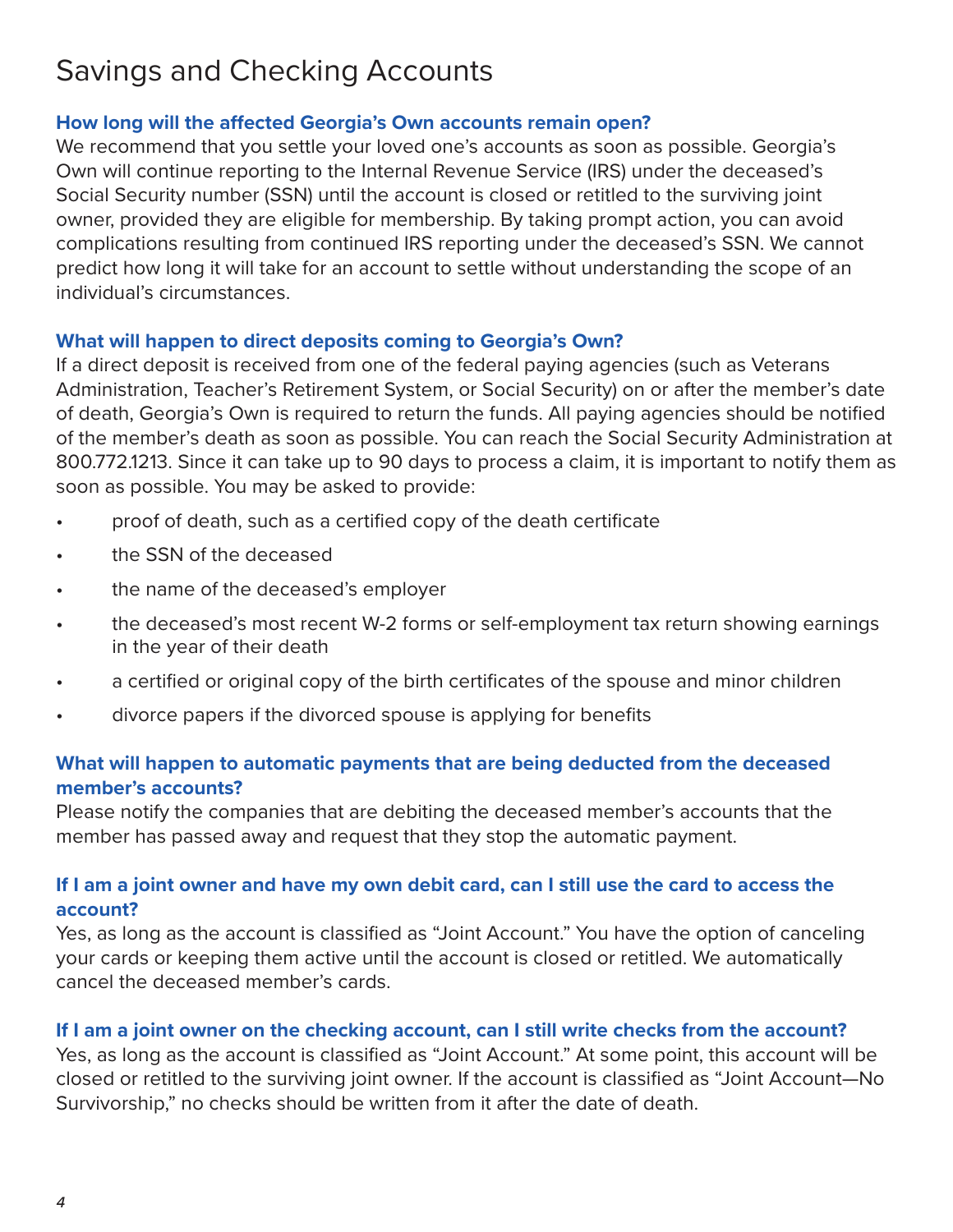## Savings and Checking Accounts

#### **How long will the affected Georgia's Own accounts remain open?**

We recommend that you settle your loved one's accounts as soon as possible. Georgia's Own will continue reporting to the Internal Revenue Service (IRS) under the deceased's Social Security number (SSN) until the account is closed or retitled to the surviving joint owner, provided they are eligible for membership. By taking prompt action, you can avoid complications resulting from continued IRS reporting under the deceased's SSN. We cannot predict how long it will take for an account to settle without understanding the scope of an individual's circumstances.

#### **What will happen to direct deposits coming to Georgia's Own?**

If a direct deposit is received from one of the federal paying agencies (such as Veterans Administration, Teacher's Retirement System, or Social Security) on or after the member's date of death, Georgia's Own is required to return the funds. All paying agencies should be notified of the member's death as soon as possible. You can reach the Social Security Administration at 800.772.1213. Since it can take up to 90 days to process a claim, it is important to notify them as soon as possible. You may be asked to provide:

- proof of death, such as a certified copy of the death certificate
- the SSN of the deceased
- the name of the deceased's employer
- the deceased's most recent W-2 forms or self-employment tax return showing earnings in the year of their death
- a certified or original copy of the birth certificates of the spouse and minor children
- divorce papers if the divorced spouse is applying for benefits

#### **What will happen to automatic payments that are being deducted from the deceased member's accounts?**

Please notify the companies that are debiting the deceased member's accounts that the member has passed away and request that they stop the automatic payment.

#### **If I am a joint owner and have my own debit card, can I still use the card to access the account?**

Yes, as long as the account is classified as "Joint Account." You have the option of canceling your cards or keeping them active until the account is closed or retitled. We automatically cancel the deceased member's cards.

#### **If I am a joint owner on the checking account, can I still write checks from the account?**

Yes, as long as the account is classified as "Joint Account." At some point, this account will be closed or retitled to the surviving joint owner. If the account is classified as "Joint Account—No Survivorship," no checks should be written from it after the date of death.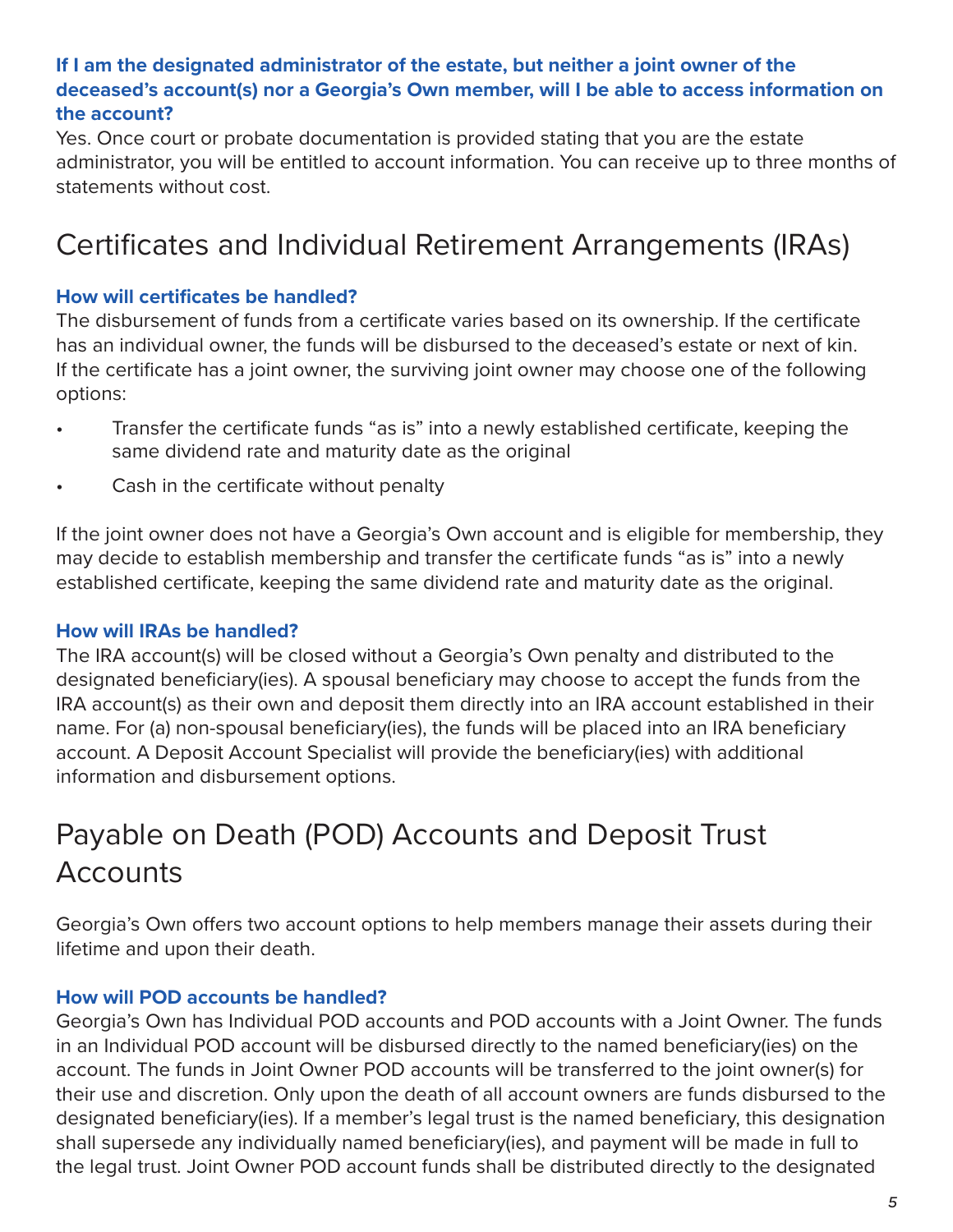#### **If I am the designated administrator of the estate, but neither a joint owner of the deceased's account(s) nor a Georgia's Own member, will I be able to access information on the account?**

Yes. Once court or probate documentation is provided stating that you are the estate administrator, you will be entitled to account information. You can receive up to three months of statements without cost.

## Certificates and Individual Retirement Arrangements (IRAs)

#### **How will certificates be handled?**

The disbursement of funds from a certificate varies based on its ownership. If the certificate has an individual owner, the funds will be disbursed to the deceased's estate or next of kin. If the certificate has a joint owner, the surviving joint owner may choose one of the following options:

- Transfer the certificate funds "as is" into a newly established certificate, keeping the same dividend rate and maturity date as the original
- Cash in the certificate without penalty

If the joint owner does not have a Georgia's Own account and is eligible for membership, they may decide to establish membership and transfer the certificate funds "as is" into a newly established certificate, keeping the same dividend rate and maturity date as the original.

#### **How will IRAs be handled?**

The IRA account(s) will be closed without a Georgia's Own penalty and distributed to the designated beneficiary(ies). A spousal beneficiary may choose to accept the funds from the IRA account(s) as their own and deposit them directly into an IRA account established in their name. For (a) non-spousal beneficiary(ies), the funds will be placed into an IRA beneficiary account. A Deposit Account Specialist will provide the beneficiary(ies) with additional information and disbursement options.

# Payable on Death (POD) Accounts and Deposit Trust **Accounts**

Georgia's Own offers two account options to help members manage their assets during their lifetime and upon their death.

#### **How will POD accounts be handled?**

Georgia's Own has Individual POD accounts and POD accounts with a Joint Owner. The funds in an Individual POD account will be disbursed directly to the named beneficiary(ies) on the account. The funds in Joint Owner POD accounts will be transferred to the joint owner(s) for their use and discretion. Only upon the death of all account owners are funds disbursed to the designated beneficiary(ies). If a member's legal trust is the named beneficiary, this designation shall supersede any individually named beneficiary(ies), and payment will be made in full to the legal trust. Joint Owner POD account funds shall be distributed directly to the designated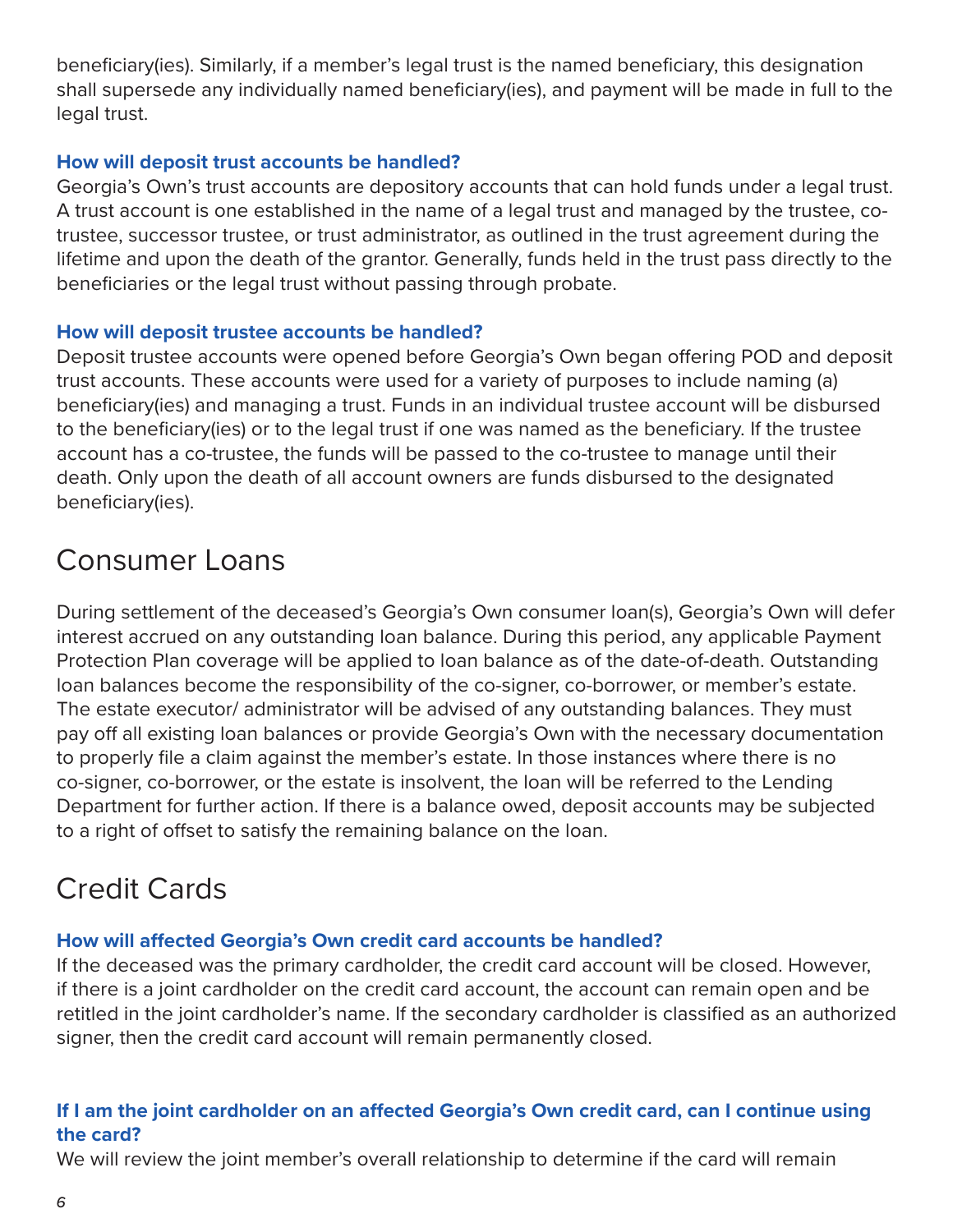beneficiary(ies). Similarly, if a member's legal trust is the named beneficiary, this designation shall supersede any individually named beneficiary(ies), and payment will be made in full to the legal trust.

#### **How will deposit trust accounts be handled?**

Georgia's Own's trust accounts are depository accounts that can hold funds under a legal trust. A trust account is one established in the name of a legal trust and managed by the trustee, cotrustee, successor trustee, or trust administrator, as outlined in the trust agreement during the lifetime and upon the death of the grantor. Generally, funds held in the trust pass directly to the beneficiaries or the legal trust without passing through probate.

#### **How will deposit trustee accounts be handled?**

Deposit trustee accounts were opened before Georgia's Own began offering POD and deposit trust accounts. These accounts were used for a variety of purposes to include naming (a) beneficiary(ies) and managing a trust. Funds in an individual trustee account will be disbursed to the beneficiary(ies) or to the legal trust if one was named as the beneficiary. If the trustee account has a co-trustee, the funds will be passed to the co-trustee to manage until their death. Only upon the death of all account owners are funds disbursed to the designated beneficiary(ies).

# Consumer Loans

During settlement of the deceased's Georgia's Own consumer loan(s), Georgia's Own will defer interest accrued on any outstanding loan balance. During this period, any applicable Payment Protection Plan coverage will be applied to loan balance as of the date-of-death. Outstanding loan balances become the responsibility of the co-signer, co-borrower, or member's estate. The estate executor/ administrator will be advised of any outstanding balances. They must pay off all existing loan balances or provide Georgia's Own with the necessary documentation to properly file a claim against the member's estate. In those instances where there is no co-signer, co-borrower, or the estate is insolvent, the loan will be referred to the Lending Department for further action. If there is a balance owed, deposit accounts may be subjected to a right of offset to satisfy the remaining balance on the loan.

### Credit Cards

#### **How will affected Georgia's Own credit card accounts be handled?**

If the deceased was the primary cardholder, the credit card account will be closed. However, if there is a joint cardholder on the credit card account, the account can remain open and be retitled in the joint cardholder's name. If the secondary cardholder is classified as an authorized signer, then the credit card account will remain permanently closed.

#### **If I am the joint cardholder on an affected Georgia's Own credit card, can I continue using the card?**

We will review the joint member's overall relationship to determine if the card will remain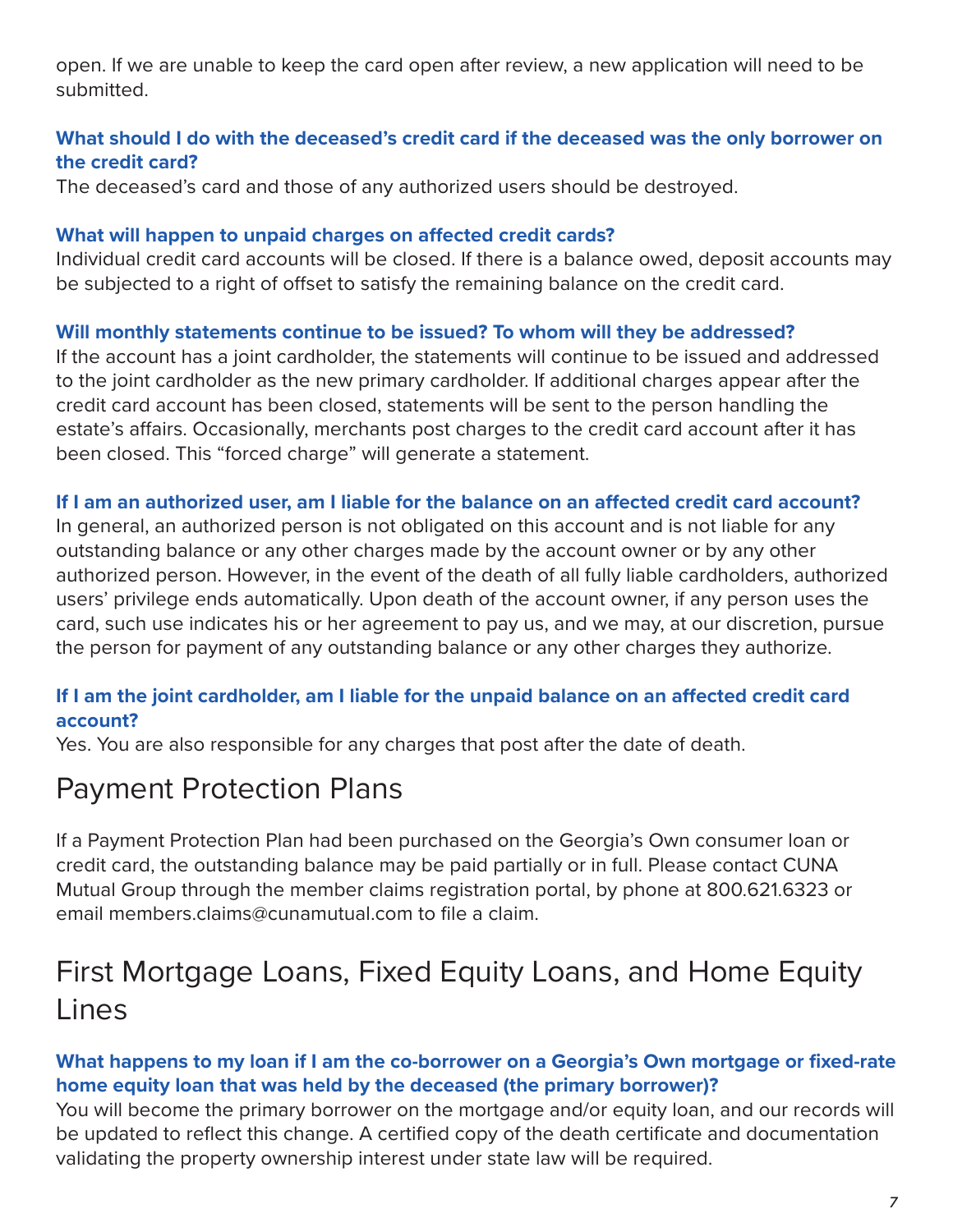open. If we are unable to keep the card open after review, a new application will need to be submitted.

#### **What should I do with the deceased's credit card if the deceased was the only borrower on the credit card?**

The deceased's card and those of any authorized users should be destroyed.

#### **What will happen to unpaid charges on affected credit cards?**

Individual credit card accounts will be closed. If there is a balance owed, deposit accounts may be subjected to a right of offset to satisfy the remaining balance on the credit card.

#### **Will monthly statements continue to be issued? To whom will they be addressed?**

If the account has a joint cardholder, the statements will continue to be issued and addressed to the joint cardholder as the new primary cardholder. If additional charges appear after the credit card account has been closed, statements will be sent to the person handling the estate's affairs. Occasionally, merchants post charges to the credit card account after it has been closed. This "forced charge" will generate a statement.

#### **If I am an authorized user, am I liable for the balance on an affected credit card account?**

In general, an authorized person is not obligated on this account and is not liable for any outstanding balance or any other charges made by the account owner or by any other authorized person. However, in the event of the death of all fully liable cardholders, authorized users' privilege ends automatically. Upon death of the account owner, if any person uses the card, such use indicates his or her agreement to pay us, and we may, at our discretion, pursue the person for payment of any outstanding balance or any other charges they authorize.

#### **If I am the joint cardholder, am I liable for the unpaid balance on an affected credit card account?**

Yes. You are also responsible for any charges that post after the date of death.

### Payment Protection Plans

If a Payment Protection Plan had been purchased on the Georgia's Own consumer loan or credit card, the outstanding balance may be paid partially or in full. Please contact CUNA Mutual Group through the member claims registration portal, by phone at 800.621.6323 or email members.claims@cunamutual.com to file a claim.

## First Mortgage Loans, Fixed Equity Loans, and Home Equity Lines

#### **What happens to my loan if I am the co-borrower on a Georgia's Own mortgage or fixed-rate home equity loan that was held by the deceased (the primary borrower)?**

You will become the primary borrower on the mortgage and/or equity loan, and our records will be updated to reflect this change. A certified copy of the death certificate and documentation validating the property ownership interest under state law will be required.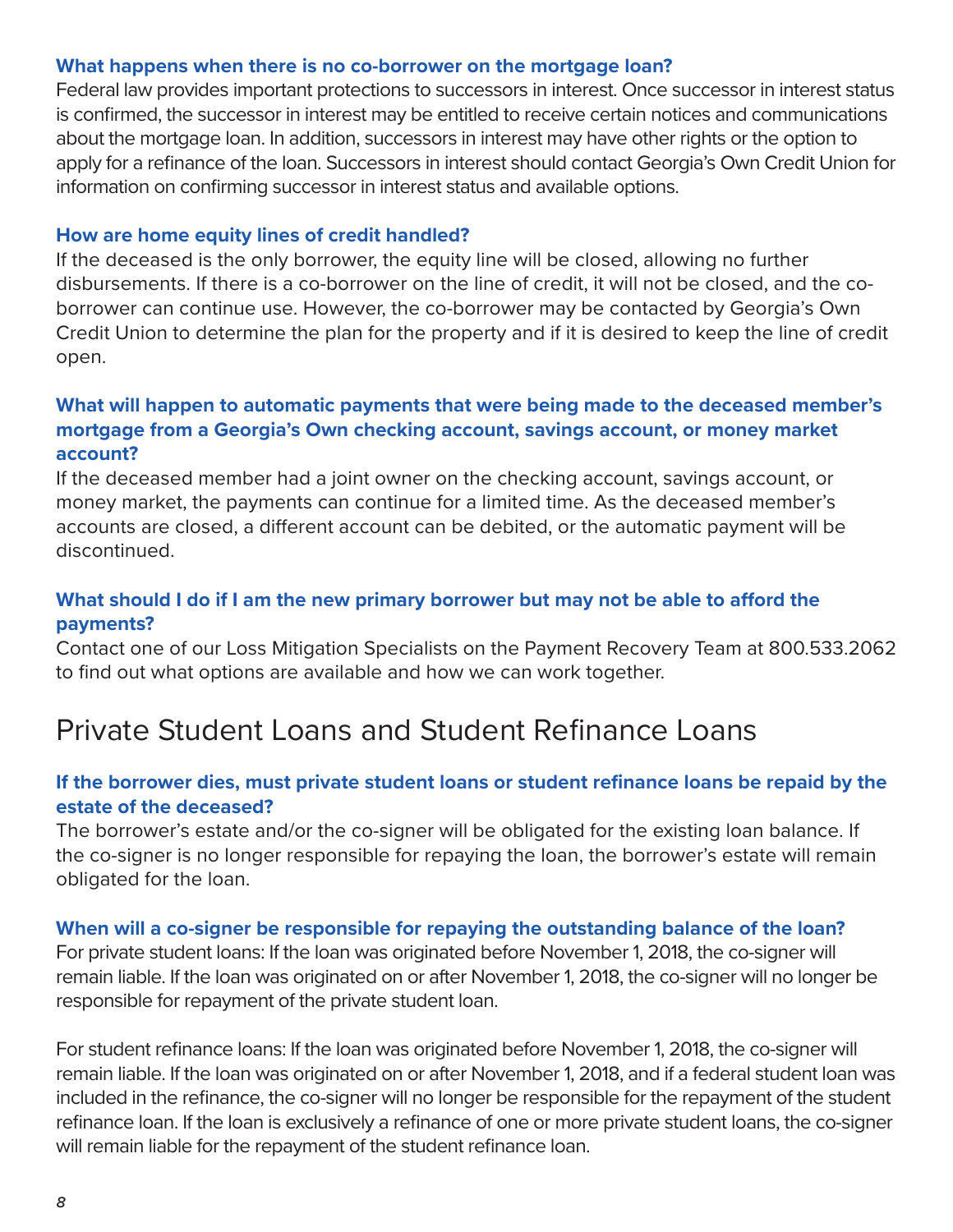#### **What happens when there is no co-borrower on the mortgage loan?**

Federal law provides important protections to successors in interest. Once successor in interest status is confirmed, the successor in interest may be entitled to receive certain notices and communications about the mortgage loan. In addition, successors in interest may have other rights or the option to apply for a refinance of the loan. Successors in interest should contact Georgia's Own Credit Union for information on confirming successor in interest status and available options.

#### **How are home equity lines of credit handled?**

If the deceased is the only borrower, the equity line will be closed, allowing no further disbursements. If there is a co-borrower on the line of credit, it will not be closed, and the coborrower can continue use. However, the co-borrower may be contacted by Georgia's Own Credit Union to determine the plan for the property and if it is desired to keep the line of credit open.

#### **What will happen to automatic payments that were being made to the deceased member's mortgage from a Georgia's Own checking account, savings account, or money market account?**

If the deceased member had a joint owner on the checking account, savings account, or money market, the payments can continue for a limited time. As the deceased member's accounts are closed, a different account can be debited, or the automatic payment will be discontinued.

#### **What should I do if I am the new primary borrower but may not be able to afford the payments?**

Contact one of our Loss Mitigation Specialists on the Payment Recovery Team at 800.533.2062 to find out what options are available and how we can work together.

### Private Student Loans and Student Refinance Loans

#### **If the borrower dies, must private student loans or student refinance loans be repaid by the estate of the deceased?**

The borrower's estate and/or the co-signer will be obligated for the existing loan balance. If the co-signer is no longer responsible for repaying the loan, the borrower's estate will remain obligated for the loan.

#### **When will a co-signer be responsible for repaying the outstanding balance of the loan?**

For private student loans: If the loan was originated before November 1, 2018, the co-signer will remain liable. If the loan was originated on or after November 1, 2018, the co-signer will no longer be responsible for repayment of the private student loan.

For student refinance loans: If the loan was originated before November 1, 2018, the co-signer will remain liable. If the loan was originated on or after November 1, 2018, and if a federal student loan was included in the refinance, the co-signer will no longer be responsible for the repayment of the student refinance loan. If the loan is exclusively a refinance of one or more private student loans, the co-signer will remain liable for the repayment of the student refinance loan.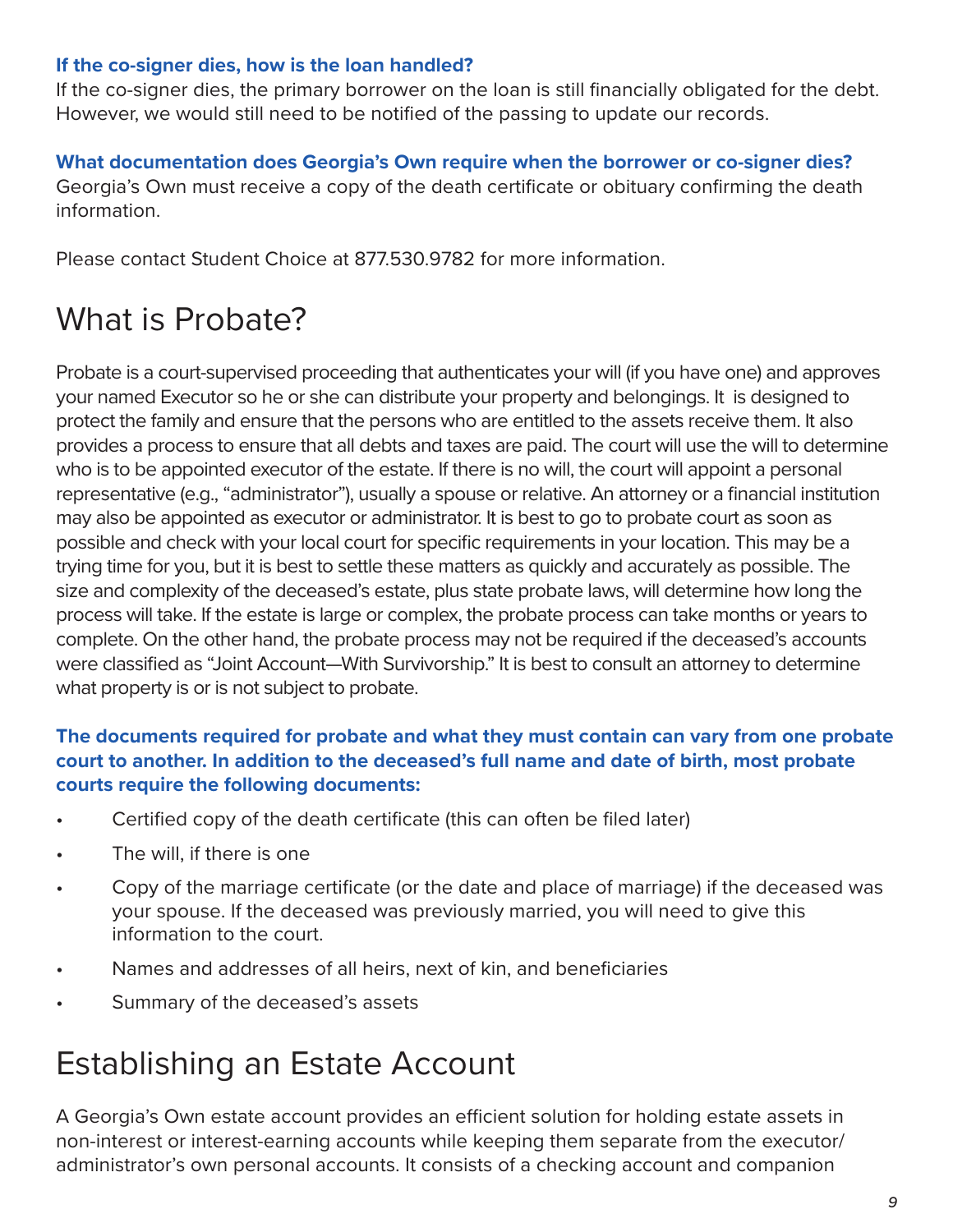#### **If the co-signer dies, how is the loan handled?**

If the co-signer dies, the primary borrower on the loan is still financially obligated for the debt. However, we would still need to be notified of the passing to update our records.

#### **What documentation does Georgia's Own require when the borrower or co-signer dies?**

Georgia's Own must receive a copy of the death certificate or obituary confirming the death information.

Please contact Student Choice at 877.530.9782 for more information.

# What is Probate?

Probate is a court-supervised proceeding that authenticates your will (if you have one) and approves your named Executor so he or she can distribute your property and belongings. It is designed to protect the family and ensure that the persons who are entitled to the assets receive them. It also provides a process to ensure that all debts and taxes are paid. The court will use the will to determine who is to be appointed executor of the estate. If there is no will, the court will appoint a personal representative (e.g., "administrator"), usually a spouse or relative. An attorney or a financial institution may also be appointed as executor or administrator. It is best to go to probate court as soon as possible and check with your local court for specific requirements in your location. This may be a trying time for you, but it is best to settle these matters as quickly and accurately as possible. The size and complexity of the deceased's estate, plus state probate laws, will determine how long the process will take. If the estate is large or complex, the probate process can take months or years to complete. On the other hand, the probate process may not be required if the deceased's accounts were classified as "Joint Account—With Survivorship." It is best to consult an attorney to determine what property is or is not subject to probate.

#### **The documents required for probate and what they must contain can vary from one probate court to another. In addition to the deceased's full name and date of birth, most probate courts require the following documents:**

- Certified copy of the death certificate (this can often be filed later)
- The will, if there is one
- Copy of the marriage certificate (or the date and place of marriage) if the deceased was your spouse. If the deceased was previously married, you will need to give this information to the court.
- Names and addresses of all heirs, next of kin, and beneficiaries
- Summary of the deceased's assets

# Establishing an Estate Account

A Georgia's Own estate account provides an efficient solution for holding estate assets in non-interest or interest-earning accounts while keeping them separate from the executor/ administrator's own personal accounts. It consists of a checking account and companion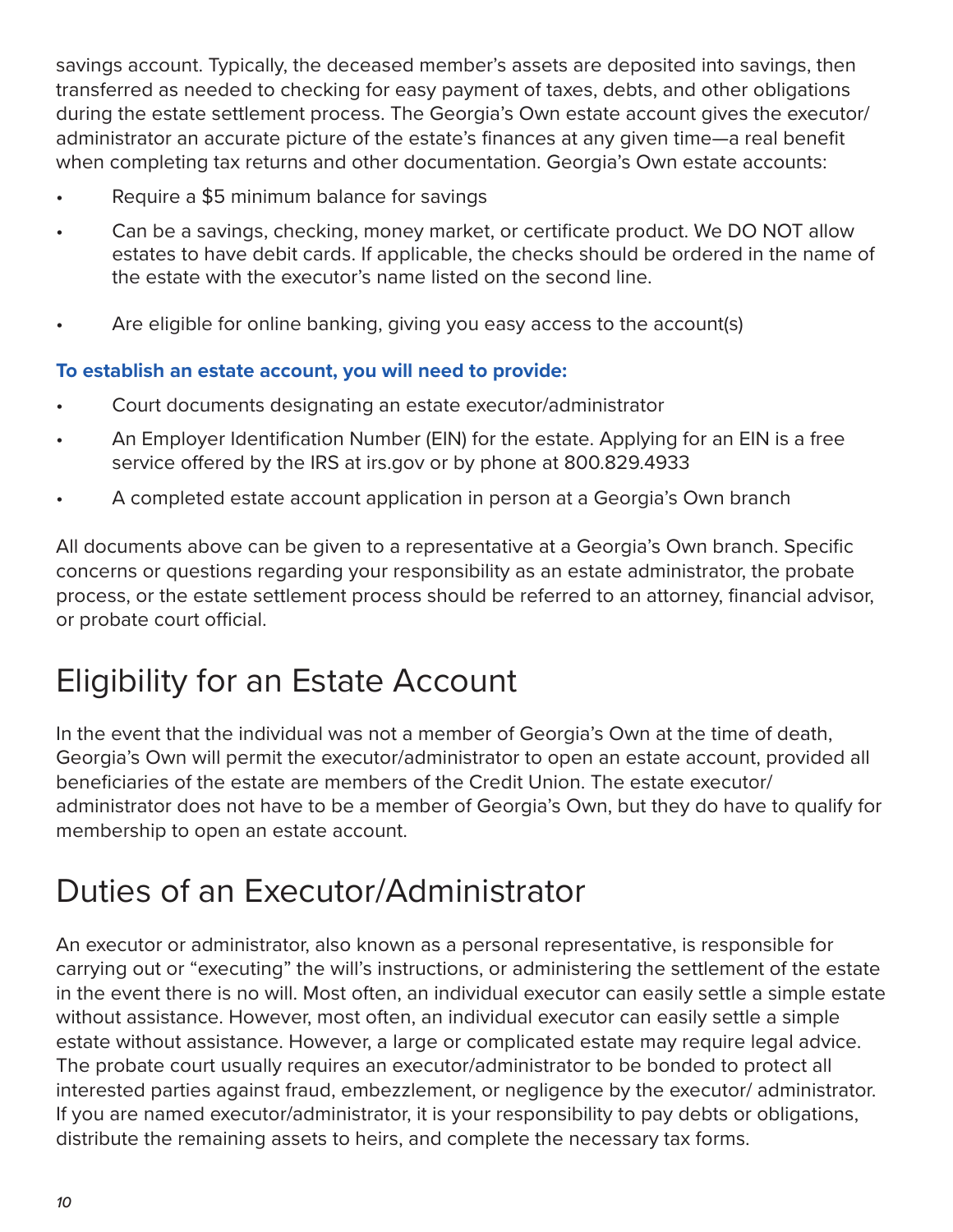savings account. Typically, the deceased member's assets are deposited into savings, then transferred as needed to checking for easy payment of taxes, debts, and other obligations during the estate settlement process. The Georgia's Own estate account gives the executor/ administrator an accurate picture of the estate's finances at any given time—a real benefit when completing tax returns and other documentation. Georgia's Own estate accounts:

- Require a \$5 minimum balance for savings
- Can be a savings, checking, money market, or certificate product. We DO NOT allow estates to have debit cards. If applicable, the checks should be ordered in the name of the estate with the executor's name listed on the second line.
- Are eligible for online banking, giving you easy access to the account(s)

#### **To establish an estate account, you will need to provide:**

- Court documents designating an estate executor/administrator
- An Employer Identification Number (EIN) for the estate. Applying for an EIN is a free service offered by the IRS at irs.gov or by phone at 800.829.4933
- A completed estate account application in person at a Georgia's Own branch

All documents above can be given to a representative at a Georgia's Own branch. Specific concerns or questions regarding your responsibility as an estate administrator, the probate process, or the estate settlement process should be referred to an attorney, financial advisor, or probate court official.

# Eligibility for an Estate Account

In the event that the individual was not a member of Georgia's Own at the time of death, Georgia's Own will permit the executor/administrator to open an estate account, provided all beneficiaries of the estate are members of the Credit Union. The estate executor/ administrator does not have to be a member of Georgia's Own, but they do have to qualify for membership to open an estate account.

# Duties of an Executor/Administrator

An executor or administrator, also known as a personal representative, is responsible for carrying out or "executing" the will's instructions, or administering the settlement of the estate in the event there is no will. Most often, an individual executor can easily settle a simple estate without assistance. However, most often, an individual executor can easily settle a simple estate without assistance. However, a large or complicated estate may require legal advice. The probate court usually requires an executor/administrator to be bonded to protect all interested parties against fraud, embezzlement, or negligence by the executor/ administrator. If you are named executor/administrator, it is your responsibility to pay debts or obligations, distribute the remaining assets to heirs, and complete the necessary tax forms.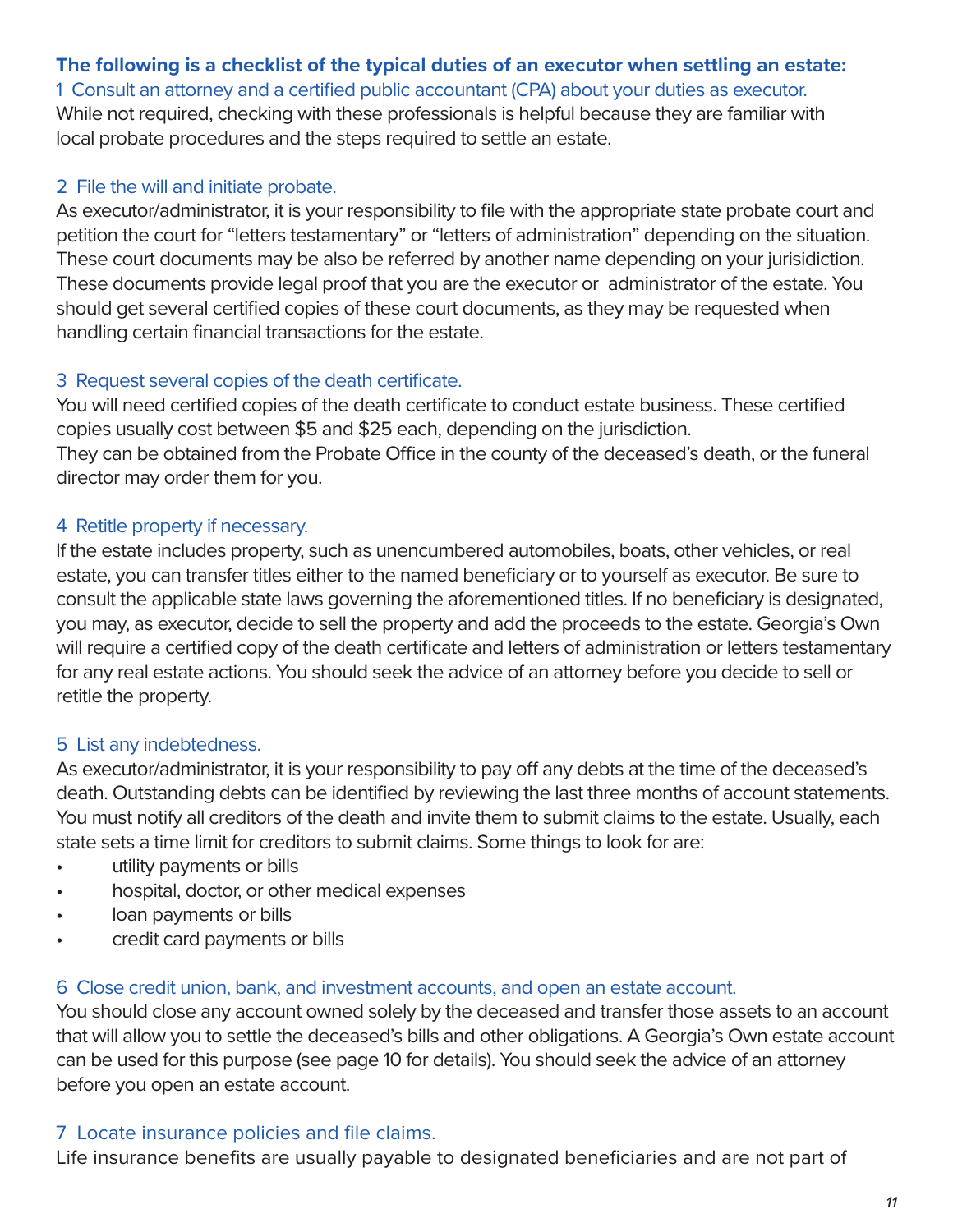#### **The following is a checklist of the typical duties of an executor when settling an estate:**

1 Consult an attorney and a certified public accountant (CPA) about your duties as executor. While not required, checking with these professionals is helpful because they are familiar with local probate procedures and the steps required to settle an estate.

#### 2 File the will and initiate probate.

As executor/administrator, it is your responsibility to file with the appropriate state probate court and petition the court for "letters testamentary" or "letters of administration" depending on the situation. These court documents may be also be referred by another name depending on your jurisidiction. These documents provide legal proof that you are the executor or administrator of the estate. You should get several certified copies of these court documents, as they may be requested when handling certain financial transactions for the estate.

#### 3 Request several copies of the death certificate.

You will need certified copies of the death certificate to conduct estate business. These certified copies usually cost between \$5 and \$25 each, depending on the jurisdiction. They can be obtained from the Probate Office in the county of the deceased's death, or the funeral director may order them for you.

#### 4 Retitle property if necessary.

If the estate includes property, such as unencumbered automobiles, boats, other vehicles, or real estate, you can transfer titles either to the named beneficiary or to yourself as executor. Be sure to consult the applicable state laws governing the aforementioned titles. If no beneficiary is designated, you may, as executor, decide to sell the property and add the proceeds to the estate. Georgia's Own will require a certified copy of the death certificate and letters of administration or letters testamentary for any real estate actions. You should seek the advice of an attorney before you decide to sell or retitle the property.

#### 5 List any indebtedness.

As executor/administrator, it is your responsibility to pay off any debts at the time of the deceased's death. Outstanding debts can be identified by reviewing the last three months of account statements. You must notify all creditors of the death and invite them to submit claims to the estate. Usually, each state sets a time limit for creditors to submit claims. Some things to look for are:

- utility payments or bills
- hospital, doctor, or other medical expenses
- loan payments or bills
- credit card payments or bills

#### 6 Close credit union, bank, and investment accounts, and open an estate account.

You should close any account owned solely by the deceased and transfer those assets to an account that will allow you to settle the deceased's bills and other obligations. A Georgia's Own estate account can be used for this purpose (see page 10 for details). You should seek the advice of an attorney before you open an estate account.

#### 7 Locate insurance policies and file claims.

Life insurance benefits are usually payable to designated beneficiaries and are not part of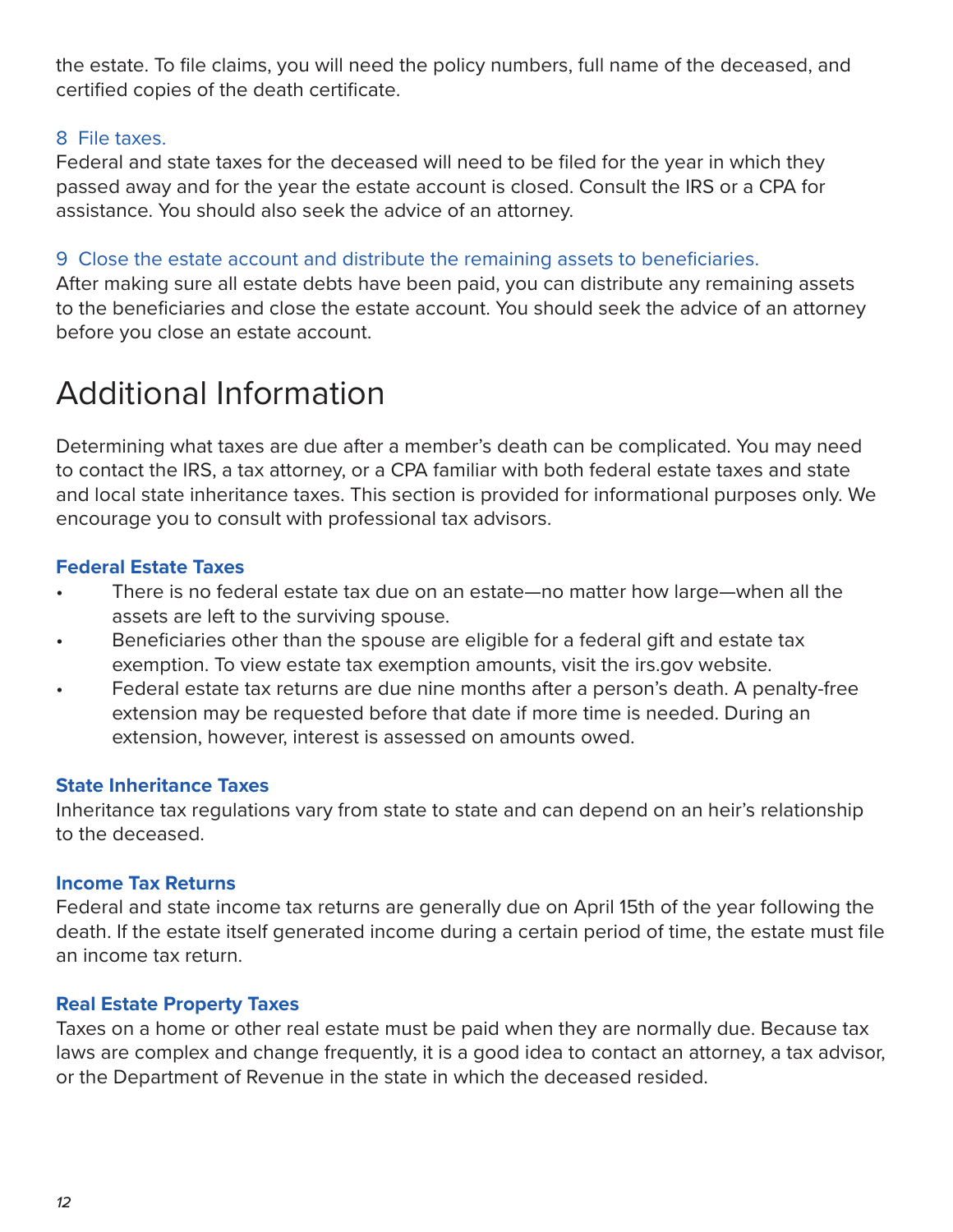the estate. To file claims, you will need the policy numbers, full name of the deceased, and certified copies of the death certificate.

#### 8 File taxes.

Federal and state taxes for the deceased will need to be filed for the year in which they passed away and for the year the estate account is closed. Consult the IRS or a CPA for assistance. You should also seek the advice of an attorney.

#### 9 Close the estate account and distribute the remaining assets to beneficiaries.

After making sure all estate debts have been paid, you can distribute any remaining assets to the beneficiaries and close the estate account. You should seek the advice of an attorney before you close an estate account.

# Additional Information

Determining what taxes are due after a member's death can be complicated. You may need to contact the IRS, a tax attorney, or a CPA familiar with both federal estate taxes and state and local state inheritance taxes. This section is provided for informational purposes only. We encourage you to consult with professional tax advisors.

#### **Federal Estate Taxes**

- There is no federal estate tax due on an estate—no matter how large—when all the assets are left to the surviving spouse.
- Beneficiaries other than the spouse are eligible for a federal gift and estate tax exemption. To view estate tax exemption amounts, visit the irs.gov website.
- Federal estate tax returns are due nine months after a person's death. A penalty-free extension may be requested before that date if more time is needed. During an extension, however, interest is assessed on amounts owed.

#### **State Inheritance Taxes**

Inheritance tax regulations vary from state to state and can depend on an heir's relationship to the deceased.

#### **Income Tax Returns**

Federal and state income tax returns are generally due on April 15th of the year following the death. If the estate itself generated income during a certain period of time, the estate must file an income tax return.

#### **Real Estate Property Taxes**

Taxes on a home or other real estate must be paid when they are normally due. Because tax laws are complex and change frequently, it is a good idea to contact an attorney, a tax advisor, or the Department of Revenue in the state in which the deceased resided.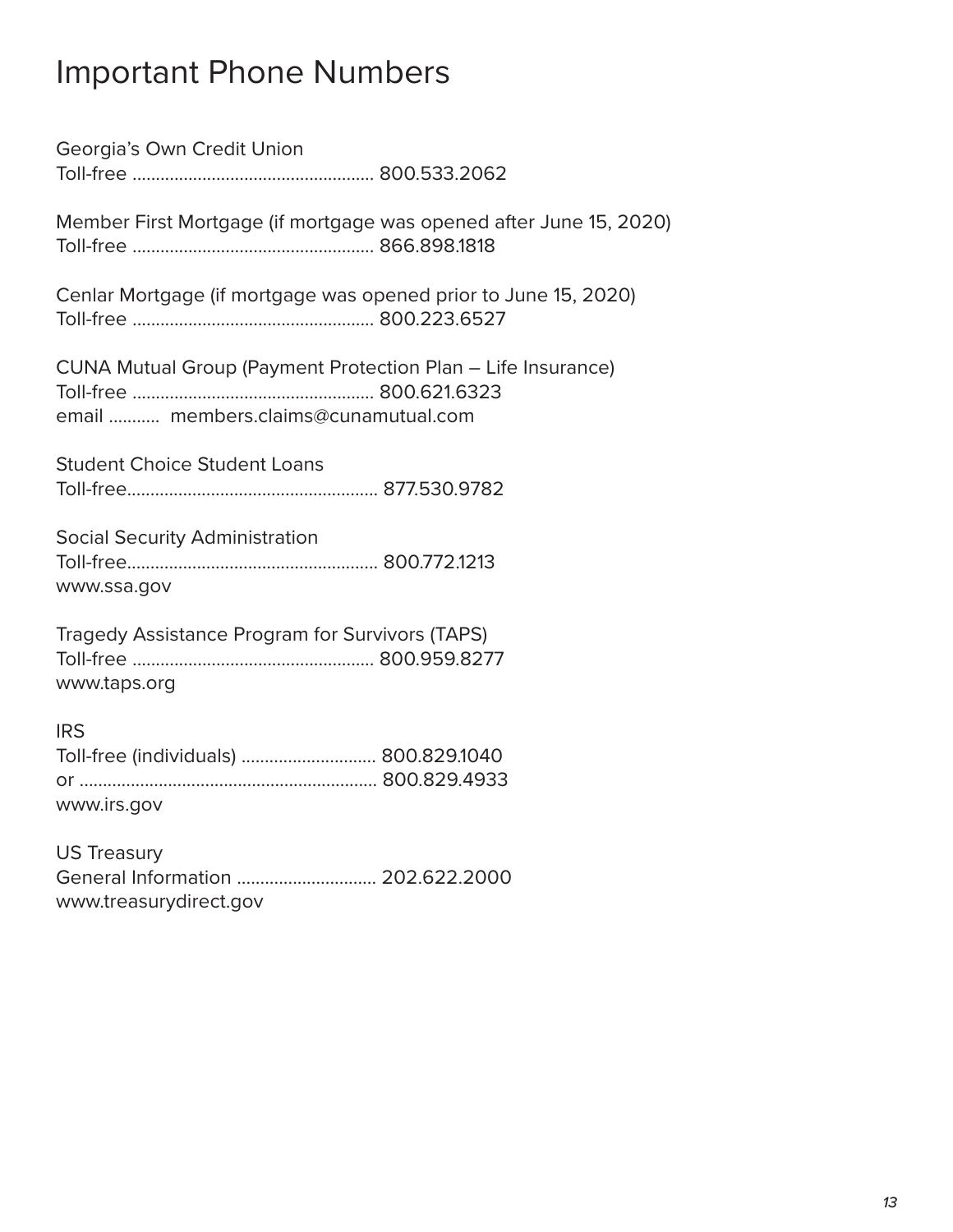# Important Phone Numbers

Georgia's Own Credit Union Toll-free .................................................... 800.533.2062 Member First Mortgage (if mortgage was opened after June 15, 2020) Toll-free .................................................... 866.898.1818 Cenlar Mortgage (if mortgage was opened prior to June 15, 2020) Toll-free .................................................... 800.223.6527 CUNA Mutual Group (Payment Protection Plan – Life Insurance) Toll-free .................................................... 800.621.6323 email ........... members.claims@cunamutual.com Student Choice Student Loans Toll-free...................................................... 877.530.9782 Social Security Administration Toll-free...................................................... 800.772.1213 www.ssa.gov Tragedy Assistance Program for Survivors (TAPS)

Toll-free .................................................... 800.959.8277 www.taps.org

IRS

| Toll-free (individuals)  800.829.1040 |  |
|---------------------------------------|--|
|                                       |  |
| www.irs.gov                           |  |

US Treasury General Information .............................. 202.622.2000 www.treasurydirect.gov